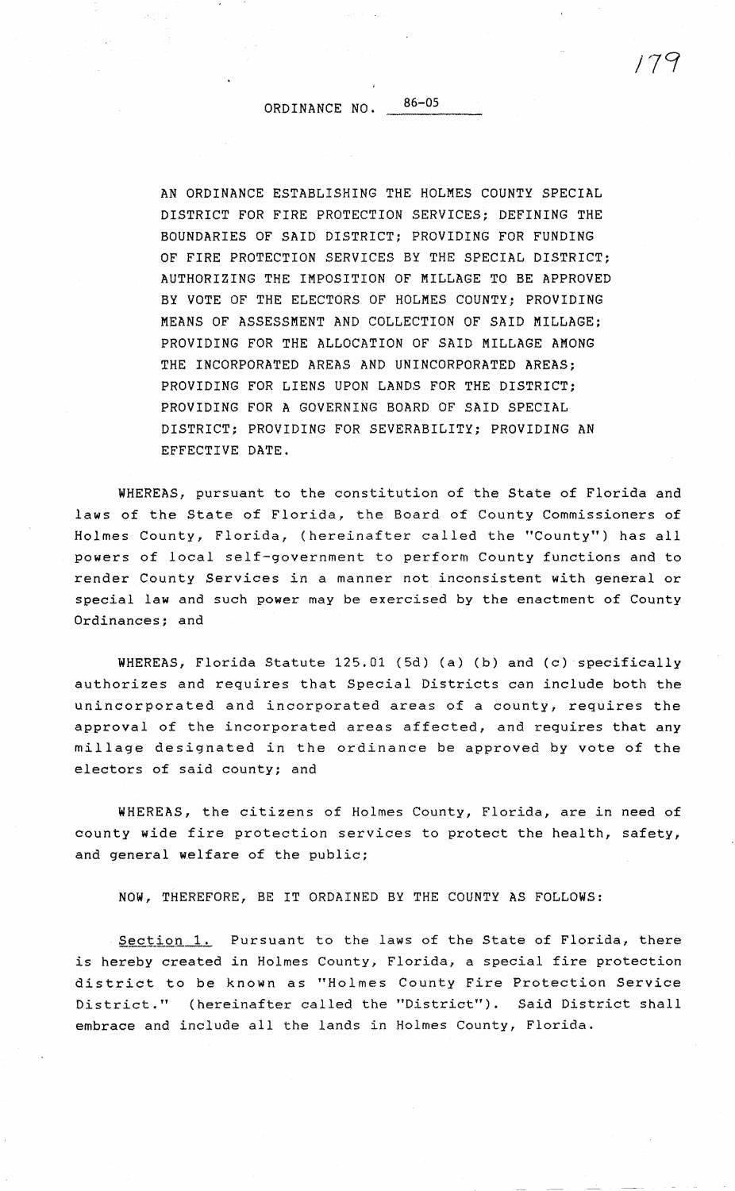ORDINANCE NO. 86-05

AN ORDINANCE ESTABLISHING THE HOLMES COUNTY SPECIAL DISTRICT FOR FIRE PROTECTION SERVICES; DEFINING THE BOUNDARIES OF SAID DISTRICT; PROVIDING FOR FUNDING OF FIRE PROTECTION SERVICES BY THE SPECIAL DISTRICT; AUTHORIZING THE IMPOSITION OF MILLAGE TO BE APPROVED BY VOTE OF THE ELECTORS OF HOLMES COUNTY; PROVIDING MEANS OF ASSESSMENT AND COLLECTION OF SAID MILLAGE; PROVIDING FOR THE ALLOCATION OF SAID MILLAGE AMONG THE INCORPORATED AREAS AND UNINCORPORATED AREAS; PROVIDING FOR LIENS UPON LANDS FOR THE DISTRICT; PROVIDING FOR **A** GOVERNING BOARD OF SAID SPECIAL DISTRICT; PROVIDING FOR SEVERABILITY; PROVIDING **AN**  EFFECTIVE DATE.

WHEREAS, pursuant to the constitution of the State of Florida and laws of the State of Florida, the Board of County Commissioners of Holmes County, Florida, (hereinafter called the "County") has all powers of local self-government to perform County functions and to render County Services in a manner not inconsistent with general or special law and such power may be exercised by the enactment of County Ordinances; and

WHEREAS, Florida Statute 125.01 (5d) (a) (b) and (c) specifically authorizes and requires that Special Districts can include both the unincorporated and incorporated areas of a county, requires the approval of the incorporated areas affected, and requires that any millage designated in the ordinance be approved by vote of the electors of said county; and

WHEREAS, the citizens of Holmes County, Florida, are in need of county wide fire protection services to protect the health, safety, and general welfare of the public;

**NOW,** THEREFORE, BE IT ORDAINED BY THE COUNTY AS FOLLOWS:

Section 1. Pursuant to the laws of the State of Florida, there is hereby created in Holmes County, Florida, a special fire protection district to be known as "Holmes County Fire Protection Service District." (hereinafter called the "District"). Said District shall embrace and include all the lands in Holmes County, Florida.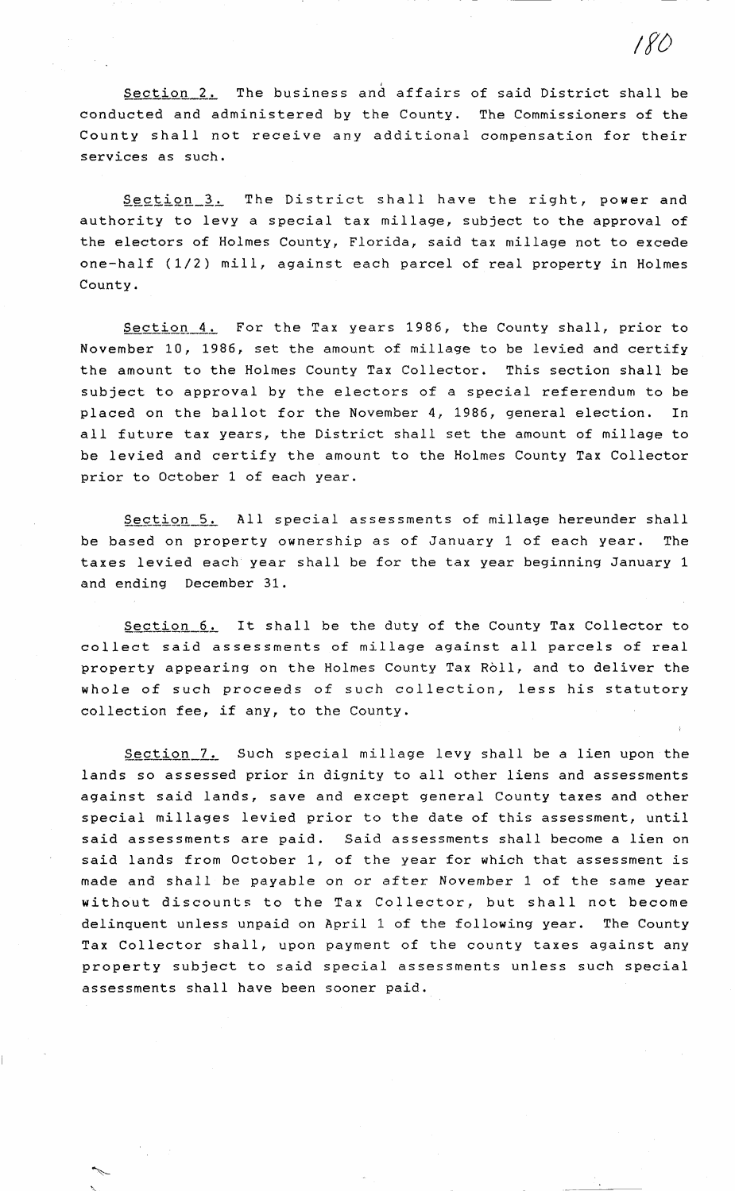Section 2. The business and affairs of said District shall be conducted and administered by the County. The Commissioners of the County shall not receive any additional compensation for their services as such.

*/f()* 

Section 3. The District shall have the right, power and authority to levy a special tax millage, subject to the approval of the electors of Holmes County, Florida, said tax millage not to excede one-half (1/2) mill, against each parcel of real property in Holmes County.

Section 4. For the Tax years 1986, the County shall, prior to November 10, 1986, set the amount of millage to be levied and certify the amount to the Holmes County Tax Collector. This section shall be subject to approval by the electors of a special referendum to be placed on the ballot for the November 4, 1986, general election. In all future tax years, the District shall set the amount of millage to be levied and certify the amount to the Holmes County Tax Collector prior to October 1 of each year.

Section 5. All special assessments of millage hereunder shall be based on property ownership as of January 1 of each year. The taxes levied each year shall be for the tax year beginning January 1 and ending December 31.

Section 6. It shall be the duty of the County Tax Collector to collect said assessments of millage against all parcels of real property appearing on the Holmes County Tax Roll, and to deliver the whole of such proceeds of such collection, less his statutory collection fee, if any, to the County.

Section 7. Such special millage levy shall be a lien upon the lands so assessed prior in dignity to all other liens and assessments against said lands, save and except general County taxes and other special millages levied prior to the date of this assessment, until said assessments are paid. Said assessments shall become a lien on said lands from October 1, of the year for which that assessment is made and shall be payable on or after November 1 of the same year without discounts to the Tax Collector, but shall not become delinquent unless unpaid on April 1 of the following year. The County Tax Collector shall, upon payment of the county taxes against any property subject to said special assessments unless such special assessments shall have been sooner paid.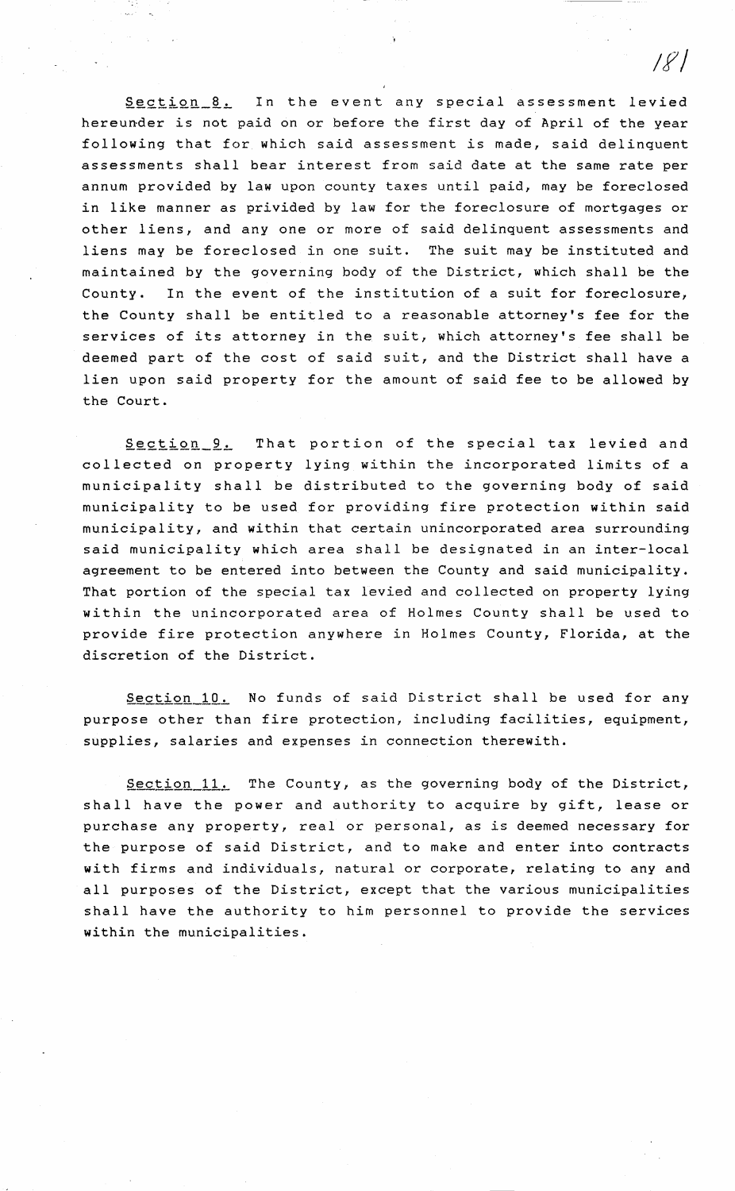Section 8. In the event any special assessment levied hereunder is not paid on or before the first day of April of the year following that for which said assessment is made, said delinquent assessments shall bear interest from said date at the same rate per annum provided by law upon county taxes until paid, may be foreclosed in like manner as privided by law for the foreclosure of mortgages or other liens, and any one or more of said delinquent assessments and liens may be foreclosed in one suit. The suit may be instituted and maintained by the governing body of the District, which shall be the County. In the event of the institution of a suit for foreclosure, the County shall be entitled to a reasonable attorney's fee for the services of its attorney in the suit, which attorney's fee shall be deemed part of the cost of said suit, and the District shall have a lien upon said property for the amount of said fee to be allowed by the Court.

Section 9. That portion of the special tax levied and collected on property lying within the incorporated limits of a municipality shall be distributed to the governing body of said municipality to be used for providing fire protection within said municipality, and within that certain unincorporated area surrounding said municipality which area shall be designated in an inter-local agreement to be entered into between the County and said municipality. That portion of the special tax levied and collected on property lying within the unincorporated area of Holmes County shall be used to provide fire protection anywhere in Holmes County, Florida, at the discretion of the District.

Section 10. No funds of said District shall be used for any purpose other than fire protection, including facilities, equipment, supplies, salaries and expenses in connection therewith.

Section 11. The County, as the governing body of the District, shall have the power and authority to acquire by gift, lease or purchase any property, real or personal, as is deemed necessary for the purpose of said District, and to make and enter into contracts with firms and individuals, natural or corporate, relating to any and all purposes of the District, except that the various municipalities shall have the authority to him personnel to provide the services within the municipalities.

 $|S|$